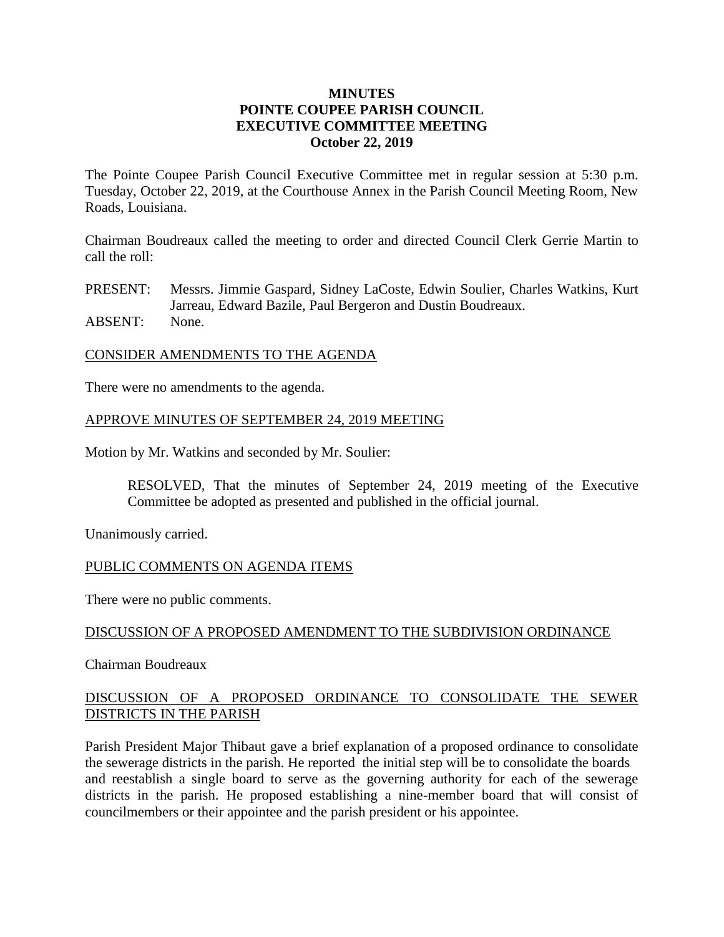## **MINUTES POINTE COUPEE PARISH COUNCIL EXECUTIVE COMMITTEE MEETING October 22, 2019**

The Pointe Coupee Parish Council Executive Committee met in regular session at 5:30 p.m. Tuesday, October 22, 2019, at the Courthouse Annex in the Parish Council Meeting Room, New Roads, Louisiana.

Chairman Boudreaux called the meeting to order and directed Council Clerk Gerrie Martin to call the roll:

PRESENT: Messrs. Jimmie Gaspard, Sidney LaCoste, Edwin Soulier, Charles Watkins, Kurt Jarreau, Edward Bazile, Paul Bergeron and Dustin Boudreaux. ABSENT: None.

### CONSIDER AMENDMENTS TO THE AGENDA

There were no amendments to the agenda.

## APPROVE MINUTES OF SEPTEMBER 24, 2019 MEETING

Motion by Mr. Watkins and seconded by Mr. Soulier:

RESOLVED, That the minutes of September 24, 2019 meeting of the Executive Committee be adopted as presented and published in the official journal.

Unanimously carried.

### PUBLIC COMMENTS ON AGENDA ITEMS

There were no public comments.

### DISCUSSION OF A PROPOSED AMENDMENT TO THE SUBDIVISION ORDINANCE

Chairman Boudreaux

# DISCUSSION OF A PROPOSED ORDINANCE TO CONSOLIDATE THE SEWER DISTRICTS IN THE PARISH

Parish President Major Thibaut gave a brief explanation of a proposed ordinance to consolidate the sewerage districts in the parish. He reported the initial step will be to consolidate the boards and reestablish a single board to serve as the governing authority for each of the sewerage districts in the parish. He proposed establishing a nine-member board that will consist of councilmembers or their appointee and the parish president or his appointee.